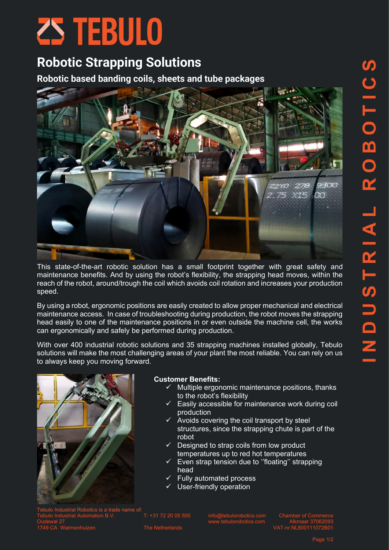# ZS TEBULO

## **Robotic Strapping Solutions**

**Robotic based banding coils, sheets and tube packages**



This state-of-the-art robotic solution has a small footprint together with great safety and maintenance benefits. And by using the robot's flexibility, the strapping head moves, within the reach of the robot, around/trough the coil which avoids coil rotation and increases your production speed.

By using a robot, ergonomic positions are easily created to allow proper mechanical and electrical maintenance access. In case of troubleshooting during production, the robot moves the strapping head easily to one of the maintenance positions in or even outside the machine cell, the works can ergonomically and safely be performed during production.

With over 400 industrial robotic solutions and 35 strapping machines installed globally, Tebulo solutions will make the most challenging areas of your plant the most reliable. You can rely on us to always keep you moving forward.



## **Customer Benefits:**

- Multiple ergonomic maintenance positions, thanks to the robot's flexibility
- Easily accessible for maintenance work during coil production
- $\checkmark$  Avoids covering the coil transport by steel structures, since the strapping chute is part of the robot
- $\checkmark$  Designed to strap coils from low product temperatures up to red hot temperatures
- Even strap tension due to "floating" strapping head
- Fully automated process
- ✓ User-friendly operation

Tebulo Industrial Robotics is a trade name of: Tebulo Industrial Automation B.V. T: +31 72 20 05 500 [info@tebulorobotics.com](mailto:info@tebulorobotics.com) Chamber of Commerce Oudewal 27 [www.tebulorobotics.com](http://www.tebulorobotics.com/) Alkmaar 37062093 1749 CA Warmenhuizen The Netherlands VAT-nr.NL800111072B01